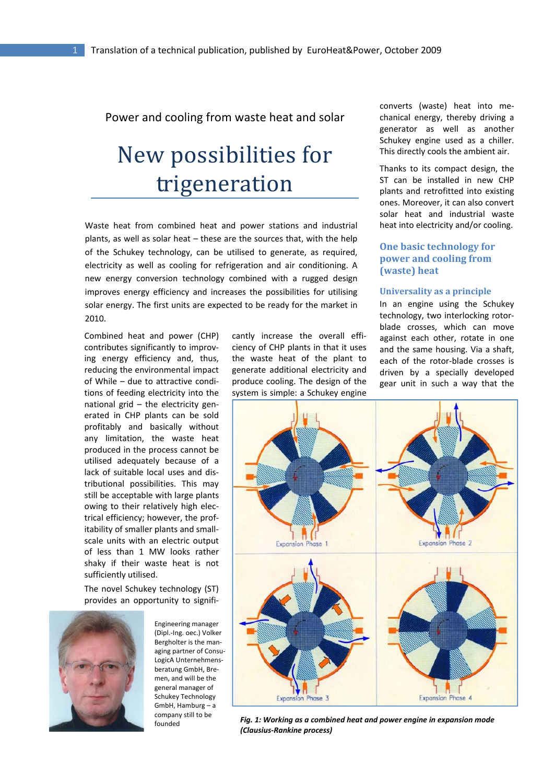# Power and cooling from waste heat and solar

# New possibilities for trigeneration

Waste heat from combined heat and power stations and industrial plants, as well as solar heat – these are the sources that, with the help of the Schukey technology, can be utilised to generate, as required, electricity as well as cooling for refrigeration and air conditioning. A new energy conversion technology combined with a rugged design improves energy efficiency and increases the possibilities for utilising solar energy. The first units are expected to be ready for the market in 2010.

Combined heat and power (CHP) contributes significantly to improv‐ ing energy efficiency and, thus, reducing the environmental impact of While – due to attractive condi‐ tions of feeding electricity into the national grid – the electricity gen‐ erated in CHP plants can be sold profitably and basically without any limitation, the waste heat produced in the process cannot be utilised adequately because of a lack of suitable local uses and dis‐ tributional possibilities. This may still be acceptable with large plants owing to their relatively high elec‐ trical efficiency; however, the prof‐ itability of smaller plants and small‐ scale units with an electric output of less than 1 MW looks rather shaky if their waste heat is not sufficiently utilised.

The novel Schukey technology (ST) provides an opportunity to signifi‐



Engineering manager (Dipl.‐Ing. oec.) Volker Bergholter is the man‐ aging partner of Consu‐ LogicA Unternehmens‐ beratung GmbH, Bre‐ men, and will be the general manager of Schukey Technology GmbH, Hamburg – a company still to be

cantly increase the overall effi‐ ciency of CHP plants in that it uses the waste heat of the plant to generate additional electricity and produce cooling. The design of the system is simple: a Schukey engine

converts (waste) heat into me‐ chanical energy, thereby driving a generator as well as another Schukey engine used as a chiller. This directly cools the ambient air.

Thanks to its compact design, the ST can be installed in new CHP plants and retrofitted into existing ones. Moreover, it can also convert solar heat and industrial waste heat into electricity and/or cooling.

## **One basic technology for power and cooling from (waste) heat**

#### **Universality as a principle**

In an engine using the Schukey technology, two interlocking rotor‐ blade crosses, which can move against each other, rotate in one and the same housing. Via a shaft, each of the rotor‐blade crosses is driven by a specially developed gear unit in such a way that the



founded *Fig. 1: Working as a combined heat and power engine in expansion mode (Clausius‐Rankine process)*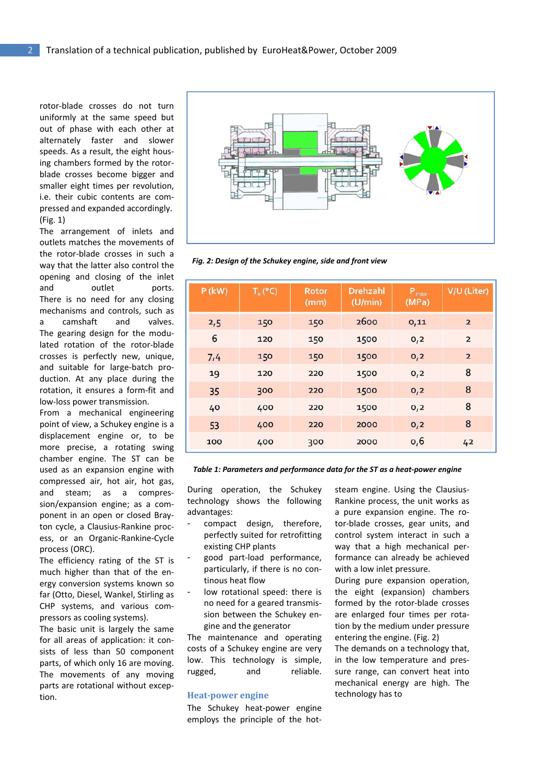rotor‐blade crosses do not turn uniformly at the same speed but out of phase with each other at alternately faster and slower speeds. As a result, the eight hous‐ ing chambers formed by the rotor‐ blade crosses become bigger and smaller eight times per revolution, i.e. their cubic contents are compressed and expanded accordingly. (Fig. 1)

The arrangement of inlets and outlets matches the movements of the rotor‐blade crosses in such a way that the latter also control the opening and closing of the inlet and outlet ports. There is no need for any closing mechanisms and controls, such as a camshaft and valves. The gearing design for the modu‐ lated rotation of the rotor‐blade crosses is perfectly new, unique, and suitable for large‐batch pro‐ duction. At any place during the rotation, it ensures a form‐fit and low‐loss power transmission.

From a mechanical engineering point of view, a Schukey engine is a displacement engine or, to be more precise, a rotating swing chamber engine. The ST can be used as an expansion engine with compressed air, hot air, hot gas, and steam; as a compres‐ sion/expansion engine; as a com‐ ponent in an open or closed Bray‐ ton cycle, a Clausius‐Rankine proc‐ ess, or an Organic‐Rankine‐Cycle process (ORC).

The efficiency rating of the ST is much higher than that of the en‐ ergy conversion systems known so far (Otto, Diesel, Wankel, Stirling as CHP systems, and various com‐ pressors as cooling systems).

The basic unit is largely the same for all areas of application: it consists of less than 50 component parts, of which only 16 are moving. The movements of any moving parts are rotational without excep‐ tion.



*Fig. 2: Design of the Schukey engine, side and front view*

| $P$ (kW) | $T_e$ (°C) | <b>Rotor</b><br>(mm) | <b>Drehzahl</b><br>(U/min) | $P_{\text{max}}$<br>(MPa) | V/U (Liter)             |
|----------|------------|----------------------|----------------------------|---------------------------|-------------------------|
| 2,5      | 150        | 150                  | 2600                       | 0,11                      | $\overline{2}$          |
| 6        | 120        | 150                  | 1500                       | 0,2                       | $\overline{\mathbf{z}}$ |
| 7,4      | 150        | 150                  | 1500                       | O <sub>1</sub> 2          | $\overline{2}$          |
| 19       | 120        | 220                  | 1500                       | 0,2                       | 8                       |
| 35       | 300        | 220                  | 1500                       | 0,2                       | 8                       |
| 40       | 400        | 220                  | 1500                       | 0,2                       | 8                       |
| 53       | 400        | 220                  | 2000                       | O, 2                      | 8                       |
| 100      | 400        | 300                  | 2000                       | 0,6                       | 42                      |

*Table 1: Parameters and performance data for the ST as a heat‐power engine*

During operation, the Schukey technology shows the following advantages:

- compact design, therefore, perfectly suited for retrofitting existing CHP plants
- good part‐load performance, particularly, if there is no con‐ tinous heat flow
- low rotational speed: there is no need for a geared transmis‐ sion between the Schukey en‐ gine and the generator

The maintenance and operating costs of a Schukey engine are very low. This technology is simple, rugged, and reliable.

#### **Heatpower engine**

The Schukey heat‐power engine employs the principle of the hot‐ steam engine. Using the Clausius‐ Rankine process, the unit works as a pure expansion engine. The ro‐ tor‐blade crosses, gear units, and control system interact in such a way that a high mechanical per‐ formance can already be achieved with a low inlet pressure.

During pure expansion operation, the eight (expansion) chambers formed by the rotor‐blade crosses are enlarged four times per rota‐ tion by the medium under pressure entering the engine. (Fig. 2)

The demands on a technology that, in the low temperature and pres‐ sure range, can convert heat into mechanical energy are high. The technology has to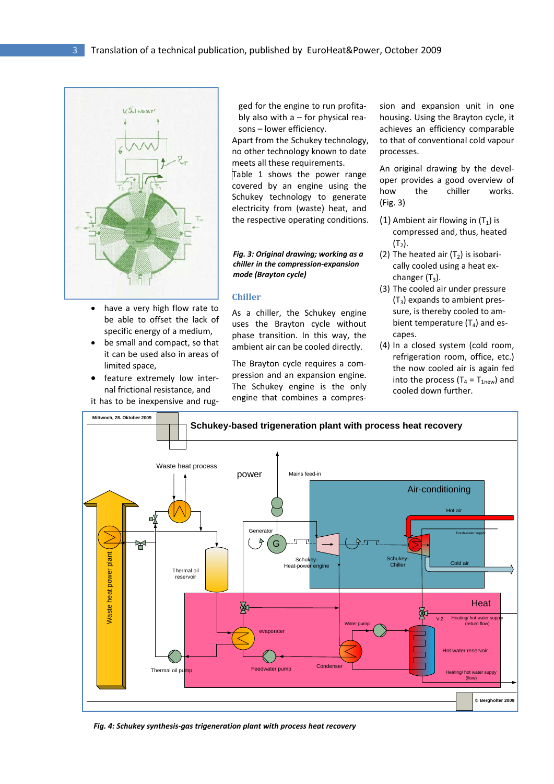

- have a very high flow rate to be able to offset the lack of specific energy of a medium,
- be small and compact, so that it can be used also in areas of limited space,
- feature extremely low internal frictional resistance, and

it has to be inexpensive and rug‐

ged for the engine to run profita‐ bly also with  $a$  – for physical reasons – lower efficiency.

Apart from the Schukey technology, no other technology known to date meets all these requirements.

Table 1 shows the power range covered by an engine using the Schukey technology to generate electricity from (waste) heat, and the respective operating conditions.

#### *Fig. 3: Original drawing; working as a chiller in the compression‐expansion mode (Brayton cycle)*

### **Chiller**

As a chiller, the Schukey engine uses the Brayton cycle without phase transition. In this way, the ambient air can be cooled directly.

The Brayton cycle requires a com‐ pression and an expansion engine. The Schukey engine is the only engine that combines a compres‐

sion and expansion unit in one housing. Using the Brayton cycle, it achieves an efficiency comparable to that of conventional cold vapour processes.

An original drawing by the devel‐ oper provides a good overview of how the chiller works. (Fig. 3)

- (1) Ambient air flowing in  $(T_1)$  is compressed and, thus, heated  $(T<sub>2</sub>)$ .
- (2) The heated air  $(T_2)$  is isobarically cooled using a heat ex‐ changer  $(T_3)$ .
- (3) The cooled air under pressure  $(T_3)$  expands to ambient pressure, is thereby cooled to am‐ bient temperature  $(T_4)$  and escapes.
- (4) In a closed system (cold room, refrigeration room, office, etc.) the now cooled air is again fed into the process ( $T_4 = T_{1\text{new}}$ ) and cooled down further.



*Fig. 4: Schukey synthesis‐gas trigeneration plant with process heat recovery*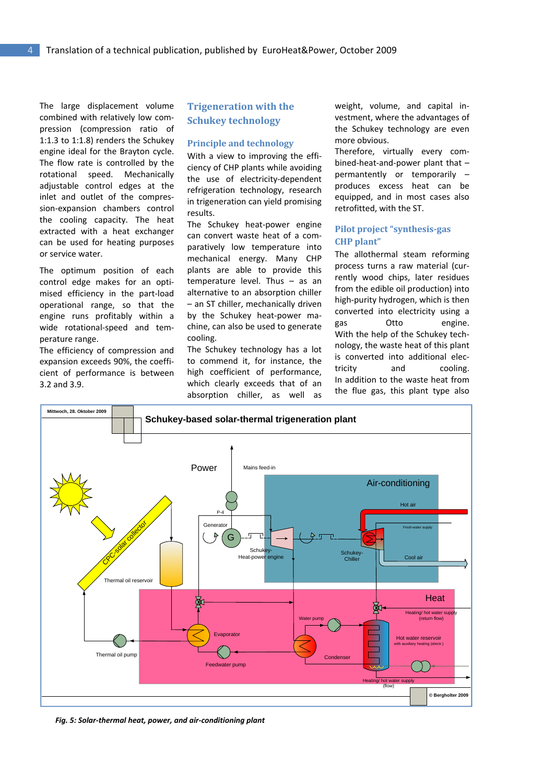The large displacement volume combined with relatively low com‐ pression (compression ratio of 1:1.3 to 1:1.8) renders the Schukey engine ideal for the Brayton cycle. The flow rate is controlled by the rotational speed. Mechanically adjustable control edges at the inlet and outlet of the compres‐ sion‐expansion chambers control the cooling capacity. The heat extracted with a heat exchanger can be used for heating purposes or service water.

The optimum position of each control edge makes for an opti‐ mised efficiency in the part‐load operational range, so that the engine runs profitably within a wide rotational-speed and temperature range.

The efficiency of compression and expansion exceeds 90%, the coeffi‐ cient of performance is between 3.2 and 3.9.

# **Trigeneration with the Schukey technology**

#### **Principle and technology**

With a view to improving the efficiency of CHP plants while avoiding the use of electricity‐dependent refrigeration technology, research in trigeneration can yield promising rosults

The Schukey heat‐power engine can convert waste heat of a com‐ paratively low temperature into mechanical energy. Many CHP plants are able to provide this temperature level. Thus – as an alternative to an absorption chiller – an ST chiller, mechanically driven by the Schukey heat‐power ma‐ chine, can also be used to generate cooling.

The Schukey technology has a lot to commend it, for instance, the high coefficient of performance, which clearly exceeds that of an absorption chiller, as well as

weight, volume, and capital in‐ vestment, where the advantages of the Schukey technology are even more obvious.

Therefore, virtually every com‐ bined‐heat‐and‐power plant that – permantently or temporarily – produces excess heat can be equipped, and in most cases also retrofitted, with the ST.

## **Pilot project "synthesisgas CHP plant"**

The allothermal steam reforming process turns a raw material (cur‐ rently wood chips, later residues from the edible oil production) into high‐purity hydrogen, which is then converted into electricity using a gas Otto engine. With the help of the Schukey tech‐ nology, the waste heat of this plant is converted into additional elec‐ tricity and cooling. In addition to the waste heat from the flue gas, this plant type also



*Fig. 5: Solar‐thermal heat, power, and air‐conditioning plant*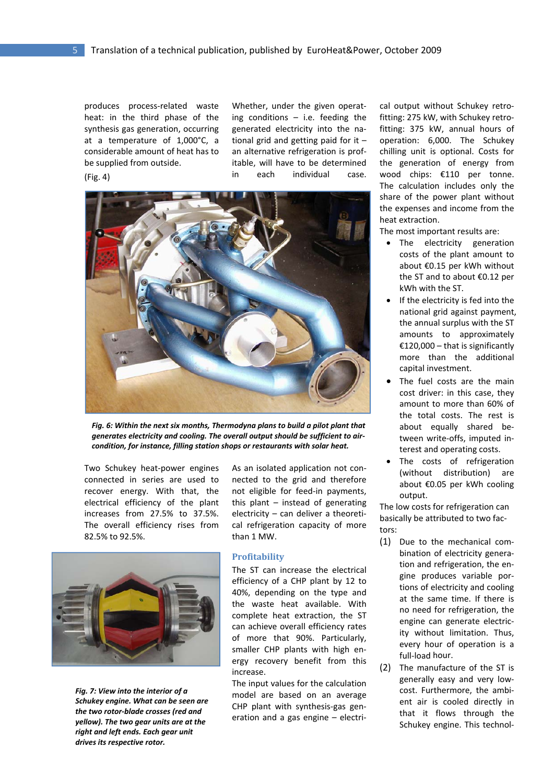produces process‐related waste heat: in the third phase of the synthesis gas generation, occurring at a temperature of 1,000°C, a considerable amount of heat has to be supplied from outside. (Fig. 4)

Whether, under the given operating conditions – i.e. feeding the generated electricity into the na‐ tional grid and getting paid for it – an alternative refrigeration is prof‐ itable, will have to be determined in each individual case.



*Fig. 6: Within the next six months, Thermodyna plans to build a pilot plant that generates electricity and cooling. The overall output should be sufficient to air‐ condition, for instance, filling station shops or restaurants with solar heat.*

Two Schukey heat‐power engines connected in series are used to recover energy. With that, the electrical efficiency of the plant increases from 27.5% to 37.5%. The overall efficiency rises from 82.5% to 92.5%.



*Fig. 7: View into the interior of a Schukey engine. What can be seen are the two rotor‐blade crosses (red and yellow). The two gear units are at the right and left ends. Each gear unit drives its respective rotor.*

As an isolated application not con‐ nected to the grid and therefore not eligible for feed‐in payments, this plant – instead of generating electricity – can deliver a theoreti‐ cal refrigeration capacity of more than 1 MW.

### **Profitability**

The ST can increase the electrical efficiency of a CHP plant by 12 to 40%, depending on the type and the waste heat available. With complete heat extraction, the ST can achieve overall efficiency rates of more that 90%. Particularly, smaller CHP plants with high energy recovery benefit from this increase.

The input values for the calculation model are based on an average CHP plant with synthesis‐gas gen‐ eration and a gas engine – electri‐

cal output without Schukey retrofitting: 275 kW, with Schukey retro‐ fitting: 375 kW, annual hours of operation: 6,000. The Schukey chilling unit is optional. Costs for the generation of energy from wood chips: €110 per tonne. The calculation includes only the share of the power plant without the expenses and income from the heat extraction.

The most important results are:

- The electricity generation costs of the plant amount to about €0.15 per kWh without the ST and to about €0.12 per kWh with the ST.
- If the electricity is fed into the national grid against payment, the annual surplus with the ST amounts to approximately €120,000 – that is significantly more than the additional capital investment.
- The fuel costs are the main cost driver: in this case, they amount to more than 60% of the total costs. The rest is about equally shared be‐ tween write‐offs, imputed in‐ terest and operating costs.
- The costs of refrigeration (without distribution) are about €0.05 per kWh cooling output.

The low costs for refrigeration can basically be attributed to two fac‐ tors:

- (1) Due to the mechanical com‐ bination of electricity genera‐ tion and refrigeration, the en‐ gine produces variable por‐ tions of electricity and cooling at the same time. If there is no need for refrigeration, the engine can generate electric‐ ity without limitation. Thus, every hour of operation is a full‐load hour.
- (2) The manufacture of the ST is generally easy and very low‐ cost. Furthermore, the ambi‐ ent air is cooled directly in that it flows through the Schukey engine. This technol‐